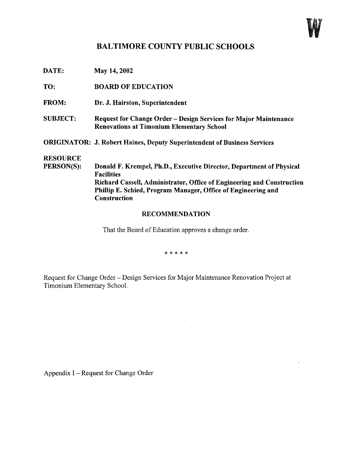

## BALTIMORE COUNTY PUBLIC SCHOOLS

DATE: May 14, <sup>2002</sup>

TO: BOARD OF EDUCATION

- FROM: Dr. J. Hairston, Superintendent
- SUBJECT: Request for Change Order Design Services for Major Maintenance Renovations at Timonium Elementary School

ORIGINATOR: J. Robert Haines, Deputy Superintendent of Business Services

## **RESOURCE**<br>PERSON(S):

Donald F. Krempel, Ph.D., Executive Director, Department of Physical Facilities Richard Cassell, Administrator, Office of Engineering and Construction Phillip E. Schied, Program Manager, Office of Engineering and Construction

## RECOMMENDATION

That the Board of Education approves a change order.

\* \* \* \* \*

Request for Change Order - Design Services for Major Maintenance Renovation Project at Timonium Elementary School.

Appendix I - Request for Change Order